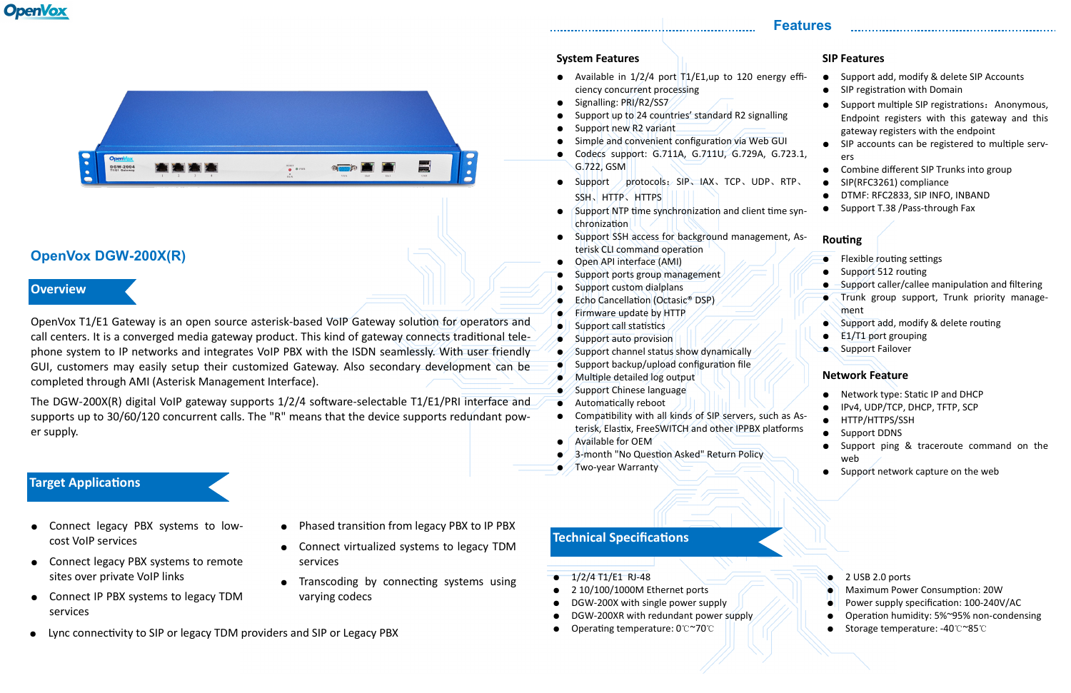# **OpenVox**



## **OpenVox DGW-200X(R)**

OpenVox T1/E1 Gateway is an open source asterisk-based VoIP Gateway solution for operators and call centers. It is a converged media gateway product. This kind of gateway connects traditional telephone system to IP networks and integrates VoIP PBX with the ISDN seamlessly. With user friendly GUI, customers may easily setup their customized Gateway. Also secondary development can be completed through AMI (Asterisk Management Interface).

• Available in  $1/2/4$  port  $T1/E1, up$  to 120 energy ciency concurrent processing

The DGW-200X(R) digital VoIP gateway supports 1/2/4 software-selectable T1/E1/PRI interface and supports up to 30/60/120 concurrent calls. The "R" means that the device supports redundant power supply.

### **Features**

### **Overview**

### **Target Applications**

- Connect legacy PBX systems to lowcost VoIP services
- Connect legacy PBX systems to remote sites over private VoIP links
- Connect IP PBX systems to legacy TDM services
- Lync connectivity to SIP or legacy TDM providers and SIP or Legacy PBX
- - Support SSH access for background management, As-
	- Open API interface (AMI)
	- Support ports group management
	- Support custom dialplans
	- Echo Cancellation (Octasic® DSP)
	- Firmware update by HTTP
	- Support call statistics
	- Support auto provision
	- Support channel status show dynamically
	- $\bullet$  Support backup/upload configuration file
	- $\bullet$  / Multiple detailed log output
	- $\bullet$  Support Chinese language
	- Automatically reboot
	- Compatibility with all kinds of SIP servers, such as Asterisk, Elastix, FreeSWITCH and other IPPBX platforms
	- Available for OEM
	- 3-month "No Question Asked" Return Policy
	- $\bullet$  / Two-year Warranty
- Signalling: PRI/R2/SS7
- Support up to 24 countries' standard R2 signalling
- Support new R2 variant
- Simple and convenient configuration via Web GUI
- Codecs support: G.711A, G.711U, G.729A, G.7. G.722, GSM
- Support protocols: SIP、IAX、TCP、UDP、RT SSH、HTTPS
- Support NTP time synchronization and client time chronization
- terisk CLI command operation
- 
- 
- 
- 
- 
- 
- 
- 
- 
- 
- 
- 
- 
- 
- 
- 

## Phased transition from legacy PBX to IP PBX

### **System Features**

| effi- | Support add, modify & delete SIP Accounts<br>SIP registration with Domain                                                              |
|-------|----------------------------------------------------------------------------------------------------------------------------------------|
|       | Support multiple SIP registrations: Anonymous,<br>Endpoint registers with this gateway and this<br>gateway registers with the endpoint |
|       | SIP accounts can be registered to multiple serv-                                                                                       |
| 23.1, | ers                                                                                                                                    |
|       | Combine different SIP Trunks into group                                                                                                |
| TP.   | SIP(RFC3261) compliance                                                                                                                |
|       | DTMF: RFC2833, SIP INFO, INBAND                                                                                                        |
| syn-  | Support T.38 / Pass-through Fax                                                                                                        |
|       |                                                                                                                                        |
| ^ ~   |                                                                                                                                        |

- Connect virtualized systems to legacy TDM services
- Transcoding by connecting systems using varying codecs
- 
- -

- -
	-
	-
- 1/2/4 T1/E1 RJ-48
- 2 10/100/1000M Ethernet ports
- DGW-200X with single power supply
- DGW-200XR with redundant power supply
- Operating temperature: 0℃~70℃

● 2 USB 2.0 ports **Maximum Power Consumption: 20W** Power supply specification: 100-240V/AC Operation humidity: 5%~95% non-condensing ● Storage temperature: -40℃~85℃

### **Routing**

- **Flexible routing settings**
- Support 512 routing
- Support caller/callee manipulation and filtering
- Trunk group support, Trunk priority management
- Support add, modify & delete routing
- E1/T1 port grouping
- **Support Failover**

### **Network Feature**

- Network type: Static IP and DHCP
- IPv4, UDP/TCP, DHCP, TFTP, SCP
- HTTP/HTTPS/SSH
- Support DDNS
- Support ping & traceroute command on the web
- Support network capture on the web

### **Technical Specifications**